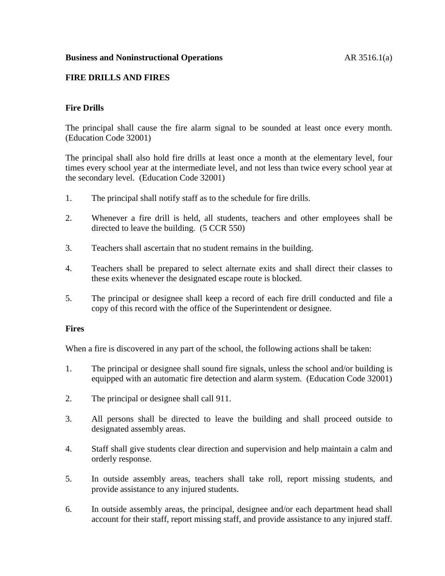### **Business and Noninstructional Operations** AR 3516.1(a)

### **FIRE DRILLS AND FIRES**

# **Fire Drills**

The principal shall cause the fire alarm signal to be sounded at least once every month. (Education Code 32001)

The principal shall also hold fire drills at least once a month at the elementary level, four times every school year at the intermediate level, and not less than twice every school year at the secondary level. (Education Code 32001)

- 1. The principal shall notify staff as to the schedule for fire drills.
- 2. Whenever a fire drill is held, all students, teachers and other employees shall be directed to leave the building. (5 CCR 550)
- 3. Teachers shall ascertain that no student remains in the building.
- 4. Teachers shall be prepared to select alternate exits and shall direct their classes to these exits whenever the designated escape route is blocked.
- 5. The principal or designee shall keep a record of each fire drill conducted and file a copy of this record with the office of the Superintendent or designee.

#### **Fires**

When a fire is discovered in any part of the school, the following actions shall be taken:

- 1. The principal or designee shall sound fire signals, unless the school and/or building is equipped with an automatic fire detection and alarm system. (Education Code 32001)
- 2. The principal or designee shall call 911.
- 3. All persons shall be directed to leave the building and shall proceed outside to designated assembly areas.
- 4. Staff shall give students clear direction and supervision and help maintain a calm and orderly response.
- 5. In outside assembly areas, teachers shall take roll, report missing students, and provide assistance to any injured students.
- 6. In outside assembly areas, the principal, designee and/or each department head shall account for their staff, report missing staff, and provide assistance to any injured staff.